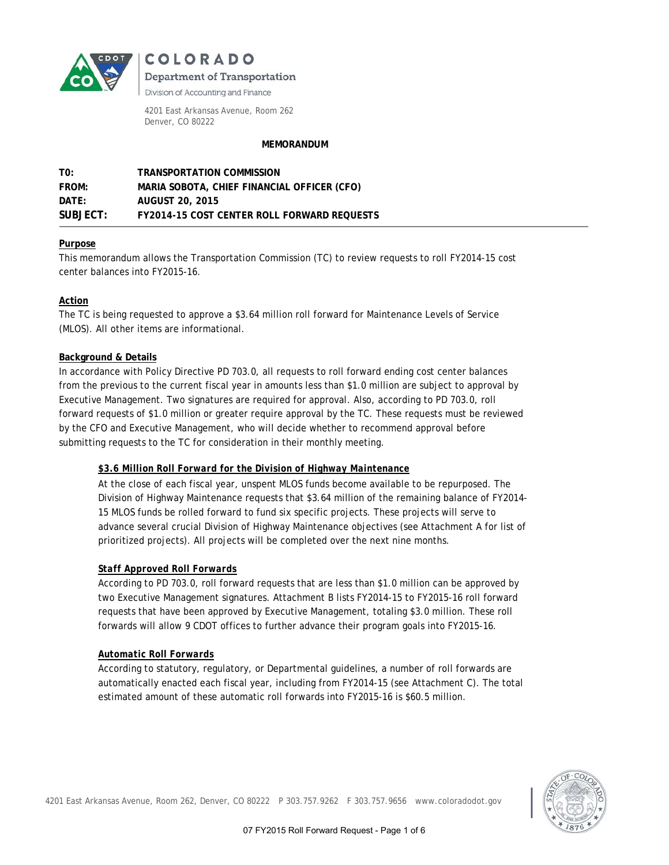

COLORADO

**Department of Transportation** 

Division of Accounting and Finance

4201 East Arkansas Avenue, Room 262 Denver, CO 80222

#### **MEMORANDUM**

| TO:              | TRANSPORTATION COMMISSION                   |
|------------------|---------------------------------------------|
| <b>FROM:</b>     | MARIA SOBOTA, CHIEF FINANCIAL OFFICER (CFO) |
| $\mathsf{DATF:}$ | AUGUST 20, 2015                             |
| SUBJECT:         | FY2014-15 COST CENTER ROLL FORWARD REQUESTS |

## **Purpose**

This memorandum allows the Transportation Commission (TC) to review requests to roll FY2014-15 cost center balances into FY2015-16.

# **Action**

The TC is being requested to approve a \$3.64 million roll forward for Maintenance Levels of Service (MLOS). All other items are informational.

#### **Background & Details**

In accordance with Policy Directive PD 703.0, all requests to roll forward ending cost center balances from the previous to the current fiscal year in amounts less than \$1.0 million are subject to approval by Executive Management. Two signatures are required for approval. Also, according to PD 703.0, roll forward requests of \$1.0 million or greater require approval by the TC. These requests must be reviewed by the CFO and Executive Management, who will decide whether to recommend approval before submitting requests to the TC for consideration in their monthly meeting.

#### *\$3.6 Million Roll Forward for the Division of Highway Maintenance*

At the close of each fiscal year, unspent MLOS funds become available to be repurposed. The Division of Highway Maintenance requests that \$3.64 million of the remaining balance of FY2014- 15 MLOS funds be rolled forward to fund six specific projects. These projects will serve to advance several crucial Division of Highway Maintenance objectives (see Attachment A for list of prioritized projects). All projects will be completed over the next nine months.

#### *Staff Approved Roll Forwards*

According to PD 703.0, roll forward requests that are less than \$1.0 million can be approved by two Executive Management signatures. Attachment B lists FY2014-15 to FY2015-16 roll forward requests that have been approved by Executive Management, totaling \$3.0 million. These roll forwards will allow 9 CDOT offices to further advance their program goals into FY2015-16.

#### *Automatic Roll Forwards*

According to statutory, regulatory, or Departmental guidelines, a number of roll forwards are automatically enacted each fiscal year, including from FY2014-15 (see Attachment C). The total estimated amount of these automatic roll forwards into FY2015-16 is \$60.5 million.

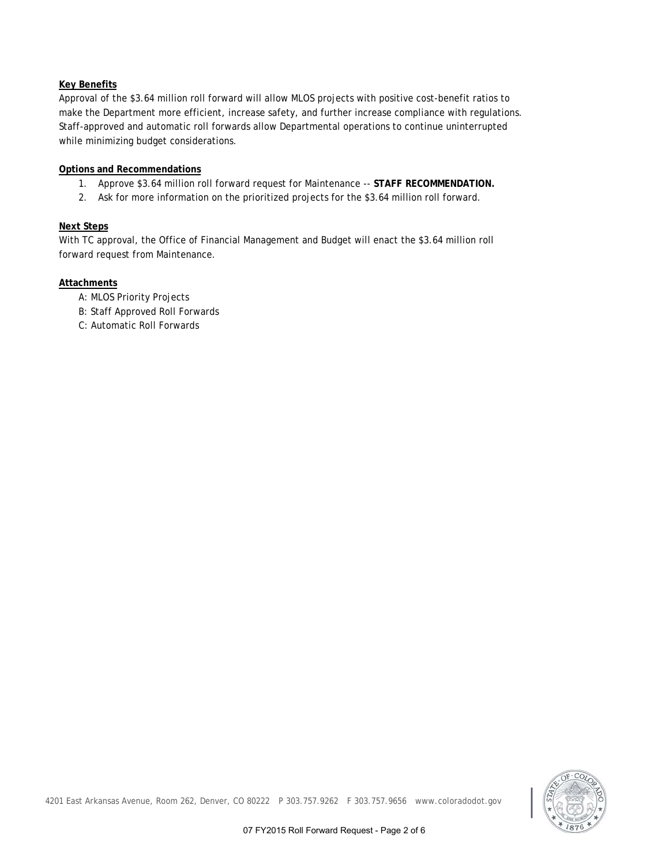# **Key Benefits**

Approval of the \$3.64 million roll forward will allow MLOS projects with positive cost-benefit ratios to make the Department more efficient, increase safety, and further increase compliance with regulations. Staff-approved and automatic roll forwards allow Departmental operations to continue uninterrupted while minimizing budget considerations.

## **Options and Recommendations**

- 1. Approve \$3.64 million roll forward request for Maintenance -- **STAFF RECOMMENDATION.**
- 2. Ask for more information on the prioritized projects for the \$3.64 million roll forward.

## **Next Steps**

With TC approval, the Office of Financial Management and Budget will enact the \$3.64 million roll forward request from Maintenance.

#### **Attachments**

- A: MLOS Priority Projects
- B: Staff Approved Roll Forwards
- C: Automatic Roll Forwards

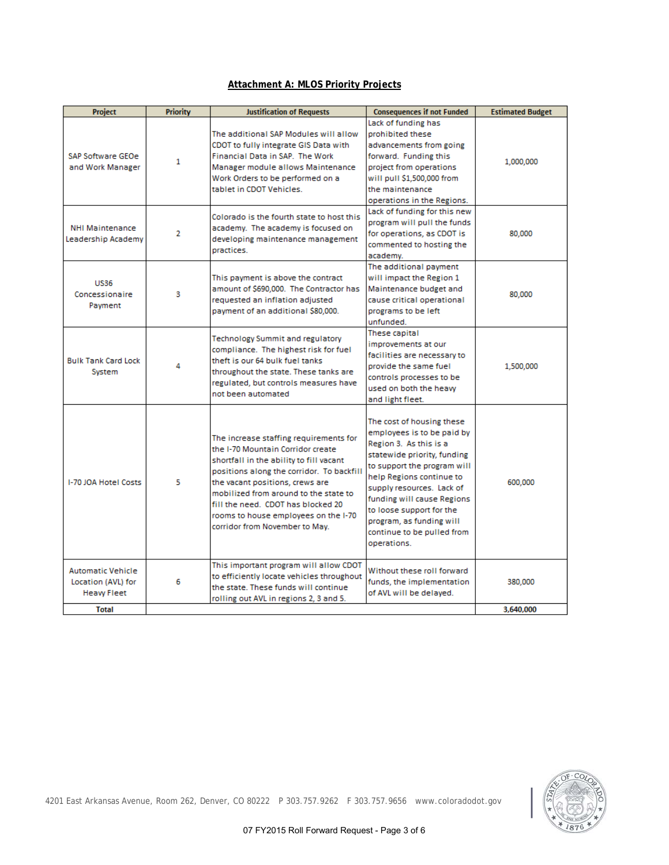# **Attachment A: MLOS Priority Projects**

| Project                                                              | <b>Priority</b> | <b>Justification of Requests</b>                                                                                                                                                                                                                                                                                                                                | <b>Consequences if not Funded</b>                                                                                                                                                                                                                                                                                                           | <b>Estimated Budget</b> |
|----------------------------------------------------------------------|-----------------|-----------------------------------------------------------------------------------------------------------------------------------------------------------------------------------------------------------------------------------------------------------------------------------------------------------------------------------------------------------------|---------------------------------------------------------------------------------------------------------------------------------------------------------------------------------------------------------------------------------------------------------------------------------------------------------------------------------------------|-------------------------|
| <b>SAP Software GEOe</b><br>and Work Manager                         | $\mathbf{1}$    | The additional SAP Modules will allow<br>CDOT to fully integrate GIS Data with<br>Financial Data in SAP. The Work<br>Manager module allows Maintenance<br>Work Orders to be performed on a<br>tablet in CDOT Vehicles.                                                                                                                                          | Lack of funding has<br>prohibited these<br>advancements from going<br>forward. Funding this<br>project from operations<br>will pull \$1,500,000 from<br>the maintenance<br>operations in the Regions.                                                                                                                                       | 1,000,000               |
| <b>NHI Maintenance</b><br>Leadership Academy                         | $\overline{2}$  | Colorado is the fourth state to host this<br>academy. The academy is focused on<br>developing maintenance management<br>practices.                                                                                                                                                                                                                              | Lack of funding for this new<br>program will pull the funds<br>for operations, as CDOT is<br>commented to hosting the<br>academy.                                                                                                                                                                                                           | 80,000                  |
| <b>US36</b><br>Concessionaire<br>Payment                             | 3               | This payment is above the contract<br>amount of \$690,000. The Contractor has<br>requested an inflation adjusted<br>payment of an additional \$80,000.                                                                                                                                                                                                          | The additional payment<br>will impact the Region 1<br>Maintenance budget and<br>cause critical operational<br>programs to be left<br>unfunded.                                                                                                                                                                                              | 80,000                  |
| <b>Bulk Tank Card Lock</b><br>System                                 | 4               | Technology Summit and regulatory<br>compliance. The highest risk for fuel<br>theft is our 64 bulk fuel tanks<br>throughout the state. These tanks are<br>regulated, but controls measures have<br>not been automated                                                                                                                                            | These capital<br>improvements at our<br>facilities are necessary to<br>provide the same fuel<br>controls processes to be<br>used on both the heaw<br>and light fleet.                                                                                                                                                                       | 1,500,000               |
| I-70 JOA Hotel Costs                                                 | 5               | The increase staffing requirements for<br>the I-70 Mountain Corridor create<br>shortfall in the ability to fill vacant<br>positions along the corridor. To backfill<br>the vacant positions, crews are<br>mobilized from around to the state to<br>fill the need. CDOT has blocked 20<br>rooms to house employees on the I-70<br>corridor from November to May. | The cost of housing these<br>employees is to be paid by<br>Region 3. As this is a<br>statewide priority, funding<br>to support the program will<br>help Regions continue to<br>supply resources. Lack of<br>funding will cause Regions<br>to loose support for the<br>program, as funding will<br>continue to be pulled from<br>operations. | 600,000                 |
| <b>Automatic Vehicle</b><br>Location (AVL) for<br><b>Heavy Fleet</b> | 6               | This important program will allow CDOT<br>to efficiently locate vehicles throughout<br>the state. These funds will continue<br>rolling out AVL in regions 2, 3 and 5.                                                                                                                                                                                           | Without these roll forward<br>funds, the implementation<br>of AVL will be delayed.                                                                                                                                                                                                                                                          | 380,000                 |
| <b>Total</b>                                                         |                 |                                                                                                                                                                                                                                                                                                                                                                 |                                                                                                                                                                                                                                                                                                                                             | 3.640.000               |



4201 East Arkansas Avenue, Room 262, Denver, CO 80222 P 303.757.9262 F 303.757.9656 www.coloradodot.gov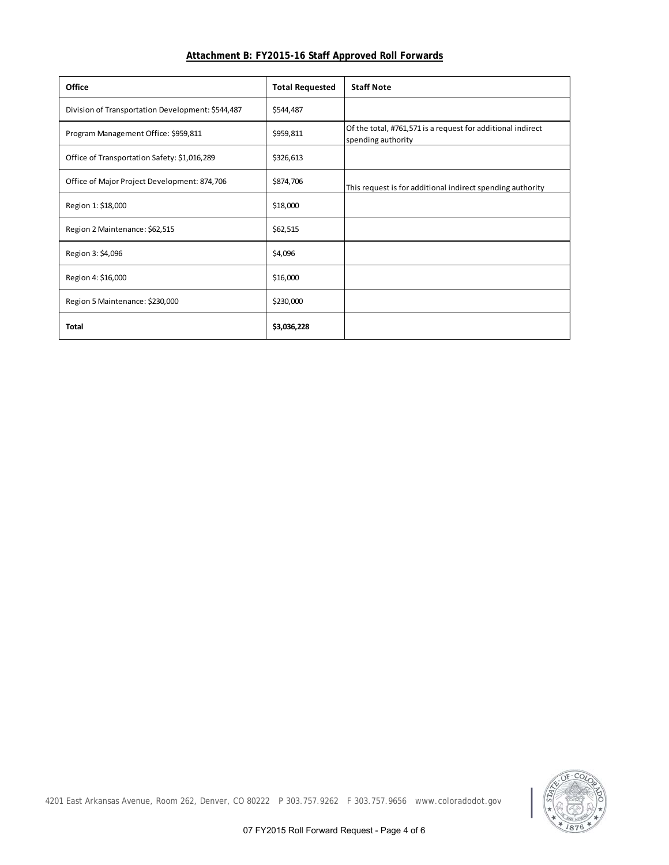| Attachment B: FY2015-16 Staff Approved Roll Forwards |  |
|------------------------------------------------------|--|
|------------------------------------------------------|--|

| Office                                            | <b>Total Requested</b> | <b>Staff Note</b>                                                                 |
|---------------------------------------------------|------------------------|-----------------------------------------------------------------------------------|
| Division of Transportation Development: \$544,487 | \$544,487              |                                                                                   |
| Program Management Office: \$959,811              | \$959,811              | Of the total, #761,571 is a request for additional indirect<br>spending authority |
| Office of Transportation Safety: \$1,016,289      | \$326,613              |                                                                                   |
| Office of Major Project Development: 874,706      | \$874,706              | This request is for additional indirect spending authority                        |
| Region 1: \$18,000                                | \$18,000               |                                                                                   |
| Region 2 Maintenance: \$62,515                    | \$62,515               |                                                                                   |
| Region 3: \$4,096                                 | \$4,096                |                                                                                   |
| Region 4: \$16,000                                | \$16,000               |                                                                                   |
| Region 5 Maintenance: \$230,000                   | \$230,000              |                                                                                   |
| <b>Total</b>                                      | \$3,036,228            |                                                                                   |



4201 East Arkansas Avenue, Room 262, Denver, CO 80222 P 303.757.9262 F 303.757.9656 www.coloradodot.gov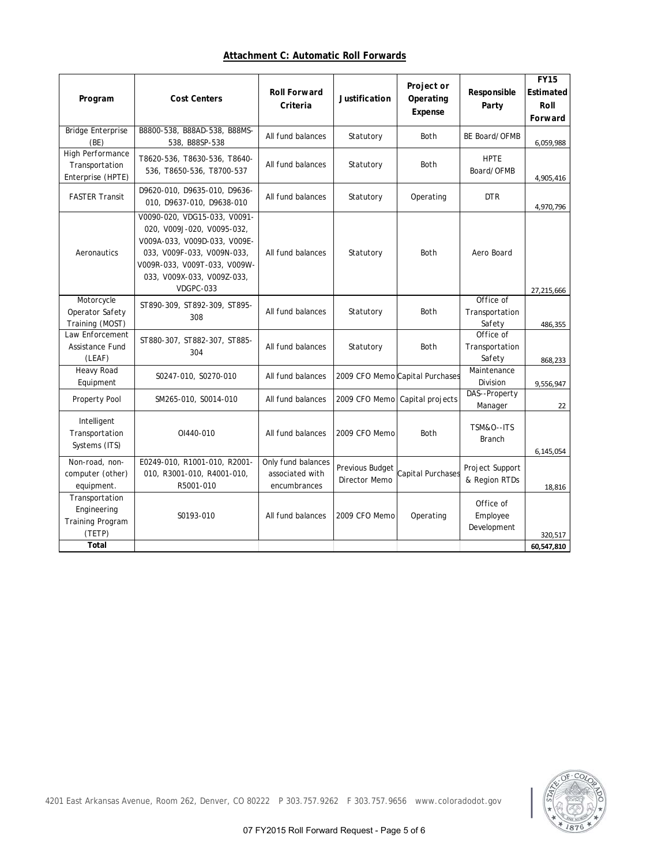# **Attachment C: Automatic Roll Forwards**

| Program                                                            | <b>Cost Centers</b>                                                                                                                                                                                 | <b>Roll Forward</b><br>Criteria                       | Justification                    | Project or<br>Operating<br>Expense | Responsible<br>Party                  | <b>FY15</b><br>Estimated<br>Roll<br>Forward |
|--------------------------------------------------------------------|-----------------------------------------------------------------------------------------------------------------------------------------------------------------------------------------------------|-------------------------------------------------------|----------------------------------|------------------------------------|---------------------------------------|---------------------------------------------|
| <b>Bridge Enterprise</b><br>(BE)                                   | B8800-538, B88AD-538, B88MS-<br>538, B88SP-538                                                                                                                                                      | All fund balances                                     | Statutory                        | <b>Both</b>                        | BE Board/OFMB                         | 6,059,988                                   |
| High Performance<br>Transportation<br>Enterprise (HPTE)            | T8620-536, T8630-536, T8640-<br>536, T8650-536, T8700-537                                                                                                                                           | All fund balances                                     | Statutory                        | Both                               | <b>HPTE</b><br>Board/OFMB             | 4,905,416                                   |
| <b>FASTER Transit</b>                                              | D9620-010, D9635-010, D9636-<br>010, D9637-010, D9638-010                                                                                                                                           | All fund balances                                     | Statutory                        | Operating                          | <b>DTR</b>                            | 4,970,796                                   |
| Aeronautics                                                        | V0090-020, VDG15-033, V0091-<br>020, V009J-020, V0095-032,<br>V009A-033, V009D-033, V009E-<br>033, V009F-033, V009N-033,<br>V009R-033, V009T-033, V009W-<br>033, V009X-033, V009Z-033,<br>VDGPC-033 | All fund balances                                     | Statutory                        | Both                               | Aero Board                            | 27,215,666                                  |
| Motorcycle<br>Operator Safety<br>Training (MOST)                   | ST890-309, ST892-309, ST895-<br>308                                                                                                                                                                 | All fund balances                                     | Statutory                        | <b>Both</b>                        | Office of<br>Transportation<br>Safety | 486,355                                     |
| Law Enforcement<br>Assistance Fund<br>(LEAF)                       | ST880-307, ST882-307, ST885-<br>304                                                                                                                                                                 | All fund balances                                     | Statutory                        | <b>Both</b>                        | Office of<br>Transportation<br>Safety | 868,233                                     |
| Heavy Road<br>Equipment                                            | S0247-010, S0270-010                                                                                                                                                                                | All fund balances                                     |                                  | 2009 CFO Memo Capital Purchases    | Maintenance<br>Division               | 9,556,947                                   |
| Property Pool                                                      | SM265-010, S0014-010                                                                                                                                                                                | All fund balances                                     |                                  | 2009 CFO Memo Capital projects     | DAS--Property<br>Manager              | 22                                          |
| Intelligent<br>Transportation<br>Systems (ITS)                     | OI440-010                                                                                                                                                                                           | All fund balances                                     | 2009 CFO Memo                    | Both                               | TSM&O--ITS<br><b>Branch</b>           | 6,145,054                                   |
| Non-road, non-<br>computer (other)<br>equipment.                   | E0249-010, R1001-010, R2001-<br>010, R3001-010, R4001-010,<br>R5001-010                                                                                                                             | Only fund balances<br>associated with<br>encumbrances | Previous Budget<br>Director Memo | Capital Purchases                  | Project Support<br>& Region RTDs      | 18.816                                      |
| Transportation<br>Engineering<br><b>Training Program</b><br>(TETP) | S0193-010                                                                                                                                                                                           | All fund balances                                     | 2009 CFO Memo                    | Operating                          | Office of<br>Employee<br>Development  | 320,517                                     |
| Total                                                              |                                                                                                                                                                                                     |                                                       |                                  |                                    |                                       | 60,547,810                                  |



4201 East Arkansas Avenue, Room 262, Denver, CO 80222 P 303.757.9262 F 303.757.9656 www.coloradodot.gov